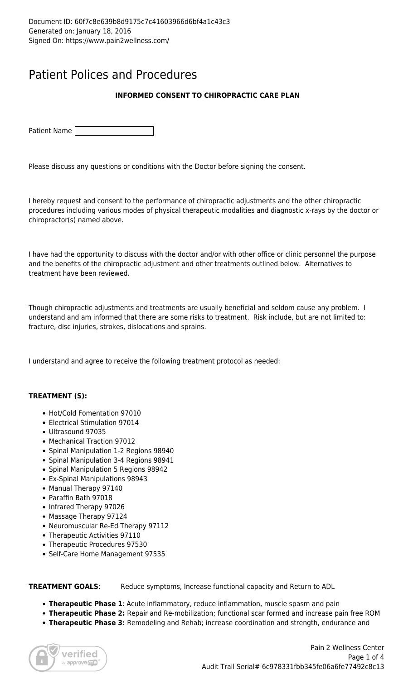## Patient Polices and Procedures

### **INFORMED CONSENT TO CHIROPRACTIC CARE PLAN**

Patient Name

Please discuss any questions or conditions with the Doctor before signing the consent.

I hereby request and consent to the performance of chiropractic adjustments and the other chiropractic procedures including various modes of physical therapeutic modalities and diagnostic x-rays by the doctor or chiropractor(s) named above.

I have had the opportunity to discuss with the doctor and/or with other office or clinic personnel the purpose and the benefits of the chiropractic adjustment and other treatments outlined below. Alternatives to treatment have been reviewed.

Though chiropractic adjustments and treatments are usually beneficial and seldom cause any problem. I understand and am informed that there are some risks to treatment. Risk include, but are not limited to: fracture, disc injuries, strokes, dislocations and sprains.

I understand and agree to receive the following treatment protocol as needed:

#### **TREATMENT (S):**

- Hot/Cold Fomentation 97010
- Electrical Stimulation 97014
- Ultrasound 97035
- Mechanical Traction 97012
- Spinal Manipulation 1-2 Regions 98940
- Spinal Manipulation 3-4 Regions 98941
- Spinal Manipulation 5 Regions 98942
- Ex-Spinal Manipulations 98943
- Manual Therapy 97140
- Paraffin Bath 97018
- Infrared Therapy 97026
- Massage Therapy 97124
- Neuromuscular Re-Ed Therapy 97112
- Therapeutic Activities 97110
- Therapeutic Procedures 97530
- Self-Care Home Management 97535

**TREATMENT GOALS:** Reduce symptoms, Increase functional capacity and Return to ADL

- **Therapeutic Phase 1**: Acute inflammatory, reduce inflammation, muscle spasm and pain
- **Therapeutic Phase 2:** Repair and Re-mobilization; functional scar formed and increase pain free ROM
- **Therapeutic Phase 3:** Remodeling and Rehab; increase coordination and strength, endurance and

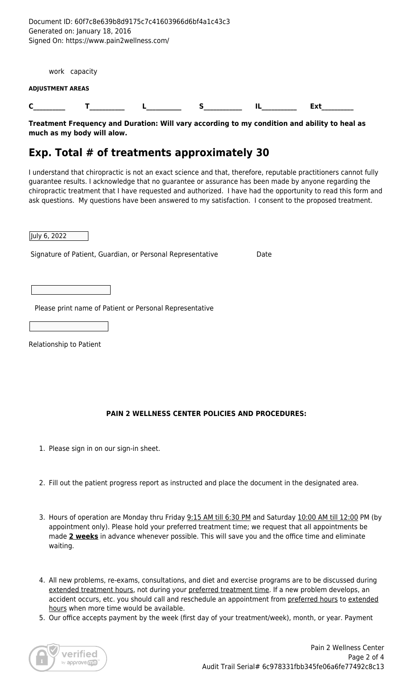Document ID: 60f7c8e639b8d9175c7c41603966d6bf4a1c43c3 Generated on: January 18, 2016 Signed On: https://www.pain2wellness.com/

work capacity

#### **ADJUSTMENT AREAS**

**C\_\_\_\_\_\_\_\_\_\_ T\_\_\_\_\_\_\_\_\_\_\_ L\_\_\_\_\_\_\_\_\_\_\_ S\_\_\_\_\_\_\_\_\_\_\_\_ IL\_\_\_\_\_\_\_\_\_\_\_ Ext\_\_\_\_\_\_\_\_\_\_**

**Treatment Frequency and Duration: Will vary according to my condition and ability to heal as much as my body will alow.**

## **Exp. Total # of treatments approximately 30**

I understand that chiropractic is not an exact science and that, therefore, reputable practitioners cannot fully guarantee results. I acknowledge that no guarantee or assurance has been made by anyone regarding the chiropractic treatment that I have requested and authorized. I have had the opportunity to read this form and ask questions. My questions have been answered to my satisfaction. I consent to the proposed treatment.

July 6, 2022

Signature of Patient, Guardian, or Personal Representative Date

Please print name of Patient or Personal Representative

Relationship to Patient

#### **PAIN 2 WELLNESS CENTER POLICIES AND PROCEDURES:**

- 1. Please sign in on our sign-in sheet.
- 2. Fill out the patient progress report as instructed and place the document in the designated area.
- 3. Hours of operation are Monday thru Friday 9:15 AM till 6:30 PM and Saturday 10:00 AM till 12:00 PM (by appointment only). Please hold your preferred treatment time; we request that all appointments be made **2 weeks** in advance whenever possible. This will save you and the office time and eliminate waiting.
- 4. All new problems, re-exams, consultations, and diet and exercise programs are to be discussed during extended treatment hours, not during your preferred treatment time. If a new problem develops, an accident occurs, etc. you should call and reschedule an appointment from preferred hours to extended hours when more time would be available.
- 5. Our office accepts payment by the week (first day of your treatment/week), month, or year. Payment

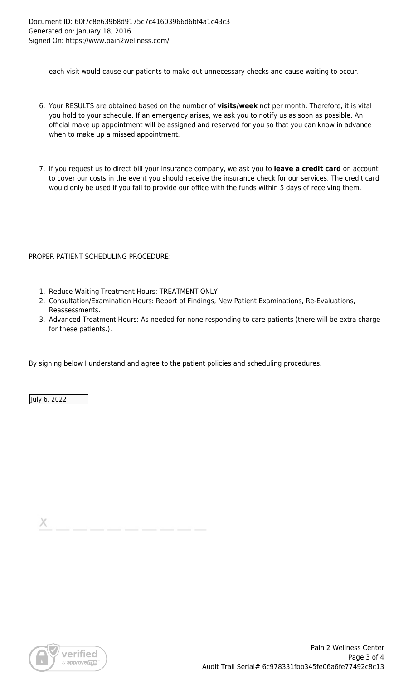each visit would cause our patients to make out unnecessary checks and cause waiting to occur.

- 6. Your RESULTS are obtained based on the number of **visits/week** not per month. Therefore, it is vital you hold to your schedule. If an emergency arises, we ask you to notify us as soon as possible. An official make up appointment will be assigned and reserved for you so that you can know in advance when to make up a missed appointment.
- 7. If you request us to direct bill your insurance company, we ask you to **leave a credit card** on account to cover our costs in the event you should receive the insurance check for our services. The credit card would only be used if you fail to provide our office with the funds within 5 days of receiving them.

#### PROPER PATIENT SCHEDULING PROCEDURE:

- 1. Reduce Waiting Treatment Hours: TREATMENT ONLY
- 2. Consultation/Examination Hours: Report of Findings, New Patient Examinations, Re-Evaluations, Reassessments.
- 3. Advanced Treatment Hours: As needed for none responding to care patients (there will be extra charge for these patients.).

By signing below I understand and agree to the patient policies and scheduling procedures.

July 6, 2022

х